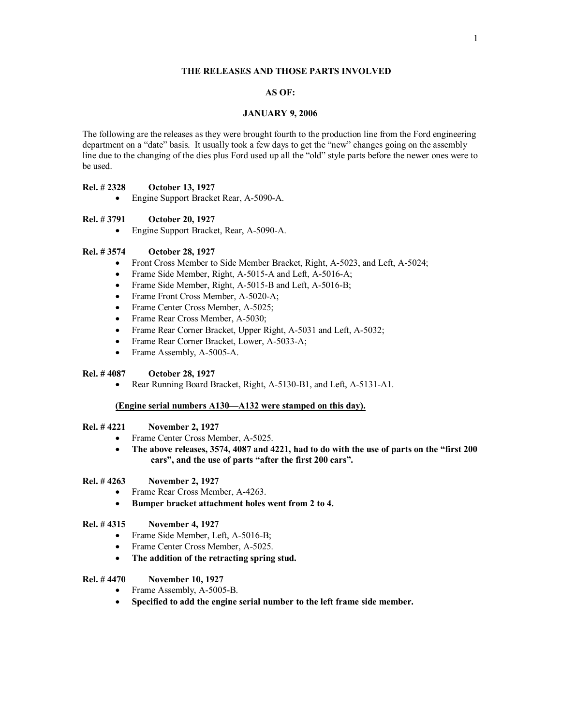## **THE RELEASES AND THOSE PARTS INVOLVED**

# **AS OF:**

#### **JANUARY 9, 2006**

The following are the releases as they were brought fourth to the production line from the Ford engineering department on a "date" basis. It usually took a few days to get the "new" changes going on the assembly line due to the changing of the dies plus Ford used up all the "old" style parts before the newer ones were to be used.

### **Rel. # 2328 October 13, 1927**

• Engine Support Bracket Rear, A-5090-A.

#### **Rel. # 3791 October 20, 1927**

· Engine Support Bracket, Rear, A-5090-A.

## **Rel. # 3574 October 28, 1927**

- Front Cross Member to Side Member Bracket, Right, A-5023, and Left, A-5024;
- Frame Side Member, Right, A-5015-A and Left, A-5016-A;
- Frame Side Member, Right, A-5015-B and Left, A-5016-B;
- Frame Front Cross Member, A-5020-A;
- Frame Center Cross Member, A-5025;
- Frame Rear Cross Member, A-5030;
- Frame Rear Corner Bracket, Upper Right, A-5031 and Left, A-5032;
- Frame Rear Corner Bracket, Lower, A-5033-A;
- Frame Assembly, A-5005-A.

### **Rel. # 4087 October 28, 1927**

• Rear Running Board Bracket, Right, A-5130-B1, and Left, A-5131-A1.

#### **(Engine serial numbers A130—A132 were stamped on this day).**

## **Rel. # 4221 November 2, 1927**

- Frame Center Cross Member, A-5025.
- · **The above releases, 3574, 4087 and 4221, had to do with the use of parts on the "first 200 cars", and the use of parts "after the first 200 cars".**
- **Rel. # 4263 November 2, 1927** 
	- Frame Rear Cross Member, A-4263.
	- · **Bumper bracket attachment holes went from 2 to 4.**

## **Rel. # 4315 November 4, 1927**

- Frame Side Member, Left, A-5016-B;
- Frame Center Cross Member, A-5025.
- · **The addition of the retracting spring stud.**

## **Rel. # 4470 November 10, 1927**

- Frame Assembly, A-5005-B.
- · **Specified to add the engine serial number to the left frame side member.**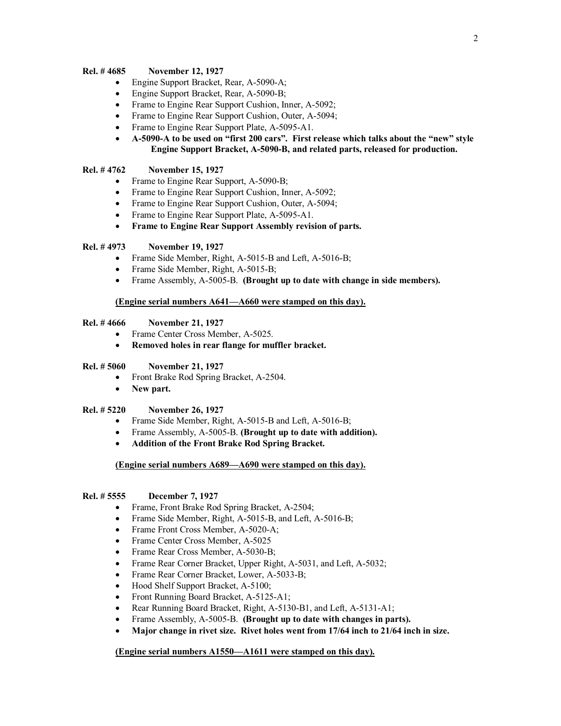## **Rel. # 4685 November 12, 1927**

- Engine Support Bracket, Rear, A-5090-A;
- Engine Support Bracket, Rear, A-5090-B;
- Frame to Engine Rear Support Cushion, Inner, A-5092;
- Frame to Engine Rear Support Cushion, Outer, A-5094;
- Frame to Engine Rear Support Plate, A-5095-A1.
- · **A-5090-A to be used on "first 200 cars". First release which talks about the "new" style Engine Support Bracket, A-5090-B, and related parts, released for production.**

## **Rel. # 4762 November 15, 1927**

- Frame to Engine Rear Support, A-5090-B;
- Frame to Engine Rear Support Cushion, Inner, A-5092;
- Frame to Engine Rear Support Cushion, Outer, A-5094;
- Frame to Engine Rear Support Plate, A-5095-A1.
- · **Frame to Engine Rear Support Assembly revision of parts.**

### **Rel. # 4973 November 19, 1927**

- Frame Side Member, Right, A-5015-B and Left, A-5016-B;
- Frame Side Member, Right, A-5015-B;
- · Frame Assembly, A-5005-B. **(Brought up to date with change in side members).**

# **(Engine serial numbers A641—A660 were stamped on this day).**

## **Rel. # 4666 November 21, 1927**

- Frame Center Cross Member, A-5025.
- · **Removed holes in rear flange for muffler bracket.**

#### **Rel. # 5060 November 21, 1927**

- Front Brake Rod Spring Bracket, A-2504.
- · **New part.**

## **Rel. # 5220 November 26, 1927**

- Frame Side Member, Right, A-5015-B and Left, A-5016-B;
- · Frame Assembly, A-5005-B. **(Brought up to date with addition).**
- · **Addition of the Front Brake Rod Spring Bracket.**

#### **(Engine serial numbers A689—A690 were stamped on this day).**

#### **Rel. # 5555 December 7, 1927**

- Frame, Front Brake Rod Spring Bracket, A-2504;
- Frame Side Member, Right, A-5015-B, and Left, A-5016-B;
- Frame Front Cross Member, A-5020-A;
- Frame Center Cross Member, A-5025
- Frame Rear Cross Member, A-5030-B;
- Frame Rear Corner Bracket, Upper Right, A-5031, and Left, A-5032;
- · Frame Rear Corner Bracket, Lower, A-5033-B;
- Hood Shelf Support Bracket, A-5100;
- Front Running Board Bracket, A-5125-A1;
- Rear Running Board Bracket, Right, A-5130-B1, and Left, A-5131-A1;
- · Frame Assembly, A-5005-B. **(Brought up to date with changes in parts).**
- · **Major change in rivet size. Rivet holes went from 17/64 inch to 21/64 inch in size.**

### **(Engine serial numbers A1550—A1611 were stamped on this day).**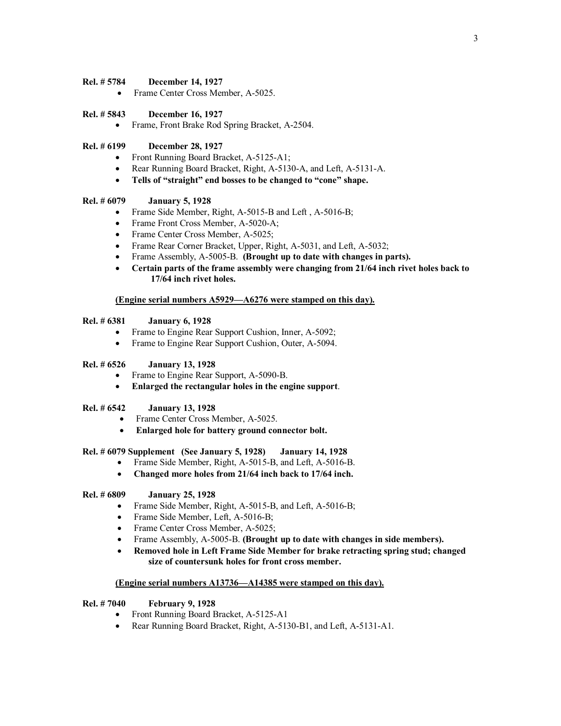### **Rel. # 5784 December 14, 1927**

• Frame Center Cross Member, A-5025.

#### **Rel. # 5843 December 16, 1927**

· Frame, Front Brake Rod Spring Bracket, A-2504.

# **Rel. # 6199 December 28, 1927**

- Front Running Board Bracket, A-5125-A1;
- · Rear Running Board Bracket, Right, A-5130-A, and Left, A-5131-A.
- · **Tells of "straight" end bosses to be changed to "cone" shape.**

## **Rel. # 6079 January 5, 1928**

- Frame Side Member, Right, A-5015-B and Left, A-5016-B;
- Frame Front Cross Member, A-5020-A;
- Frame Center Cross Member, A-5025;
- · Frame Rear Corner Bracket, Upper, Right, A-5031, and Left, A-5032;
- · Frame Assembly, A-5005-B. **(Brought up to date with changes in parts).**
- · **Certain parts of the frame assembly were changing from 21/64 inch rivet holes back to 17/64 inch rivet holes.**

### **(Engine serial numbers A5929—A6276 were stamped on this day).**

# **Rel. # 6381 January 6, 1928**

- Frame to Engine Rear Support Cushion, Inner, A-5092;
- Frame to Engine Rear Support Cushion, Outer, A-5094.

## **Rel. # 6526 January 13, 1928**

- Frame to Engine Rear Support, A-5090-B.
- · **Enlarged the rectangular holes in the engine support**.

# **Rel. # 6542 January 13, 1928**

- Frame Center Cross Member, A-5025.
- · **Enlarged hole for battery ground connector bolt.**

#### **Rel. # 6079 Supplement (See January 5, 1928) January 14, 1928**

- Frame Side Member, Right, A-5015-B, and Left, A-5016-B.
- · **Changed more holes from 21/64 inch back to 17/64 inch.**

## **Rel. # 6809 January 25, 1928**

- Frame Side Member, Right, A-5015-B, and Left, A-5016-B;
- Frame Side Member, Left, A-5016-B;
- Frame Center Cross Member, A-5025;
- · Frame Assembly, A-5005-B. **(Brought up to date with changes in side members).**
- · **Removed hole in Left Frame Side Member for brake retracting spring stud; changed size of countersunk holes for front cross member.**

### **(Engine serial numbers A13736—A14385 were stamped on this day).**

### **Rel. # 7040 February 9, 1928**

- Front Running Board Bracket, A-5125-A1
- Rear Running Board Bracket, Right, A-5130-B1, and Left, A-5131-A1.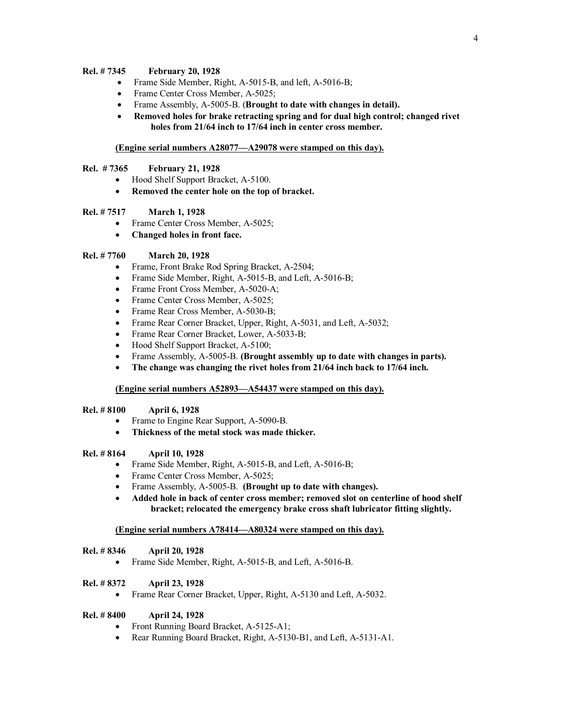# **Rel. # 7345 February 20, 1928**

- Frame Side Member, Right, A-5015-B, and left, A-5016-B;
- Frame Center Cross Member, A-5025;
- · Frame Assembly, A-5005-B. (**Brought to date with changes in detail).**
- · **Removed holes for brake retracting spring and for dual high control; changed rivet holes from 21/64 inch to 17/64 inch in center cross member.**

### **(Engine serial numbers A28077—A29078 were stamped on this day).**

### **Rel. # 7365 February 21, 1928**

- Hood Shelf Support Bracket, A-5100.
- · **Removed the center hole on the top of bracket.**

# **Rel. # 7517 March 1, 1928**

- Frame Center Cross Member, A-5025;
- · **Changed holes in front face.**

### **Rel. # 7760 March 20, 1928**

- Frame, Front Brake Rod Spring Bracket, A-2504;
- Frame Side Member, Right, A-5015-B, and Left, A-5016-B;
- Frame Front Cross Member, A-5020-A;
- Frame Center Cross Member, A-5025;
- Frame Rear Cross Member, A-5030-B;
- Frame Rear Corner Bracket, Upper, Right, A-5031, and Left, A-5032;
- Frame Rear Corner Bracket, Lower, A-5033-B;
- Hood Shelf Support Bracket, A-5100;
- · Frame Assembly, A-5005-B. **(Brought assembly up to date with changes in parts).**
- · **The change was changing the rivet holes from 21/64 inch back to 17/64 inch.**

## **(Engine serial numbers A52893—A54437 were stamped on this day).**

## **Rel. # 8100 April 6, 1928**

- Frame to Engine Rear Support, A-5090-B.
- · **Thickness of the metal stock was made thicker.**

# **Rel. # 8164 April 10, 1928**

- Frame Side Member, Right, A-5015-B, and Left, A-5016-B;
- Frame Center Cross Member, A-5025;
- · Frame Assembly, A-5005-B. **(Brought up to date with changes).**
- · **Added hole in back of center cross member; removed slot on centerline of hood shelf bracket; relocated the emergency brake cross shaft lubricator fitting slightly.**

## **(Engine serial numbers A78414—A80324 were stamped on this day).**

#### **Rel. # 8346 April 20, 1928**

• Frame Side Member, Right, A-5015-B, and Left, A-5016-B.

#### **Rel. # 8372 April 23, 1928**

• Frame Rear Corner Bracket, Upper, Right, A-5130 and Left, A-5032.

### **Rel. # 8400 April 24, 1928**

- Front Running Board Bracket, A-5125-A1;
- · Rear Running Board Bracket, Right, A-5130-B1, and Left, A-5131-A1.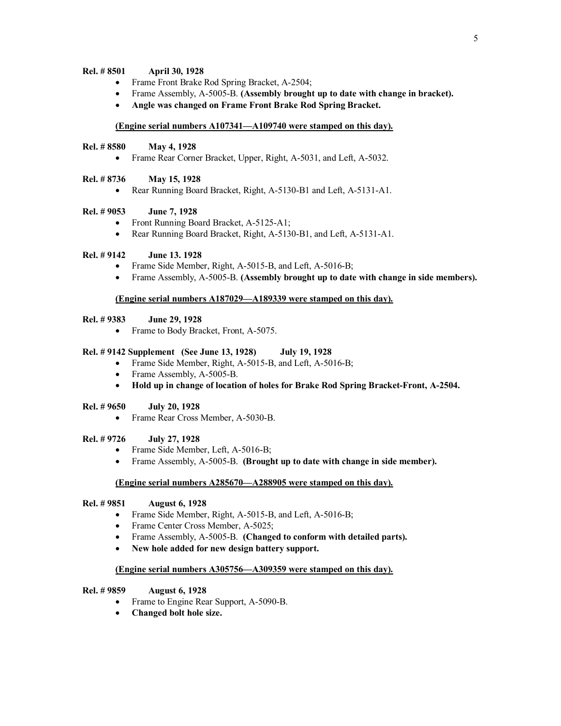### **Rel. # 8501 April 30, 1928**

- Frame Front Brake Rod Spring Bracket, A-2504;
- · Frame Assembly, A-5005-B. **(Assembly brought up to date with change in bracket).**
- · **Angle was changed on Frame Front Brake Rod Spring Bracket.**

### **(Engine serial numbers A107341—A109740 were stamped on this day).**

## **Rel. # 8580 May 4, 1928**

• Frame Rear Corner Bracket, Upper, Right, A-5031, and Left, A-5032.

#### **Rel. # 8736 May 15, 1928**

• Rear Running Board Bracket, Right, A-5130-B1 and Left, A-5131-A1.

## **Rel. # 9053 June 7, 1928**

- Front Running Board Bracket, A-5125-A1;
- Rear Running Board Bracket, Right, A-5130-B1, and Left, A-5131-A1.

## **Rel. # 9142 June 13. 1928**

- Frame Side Member, Right, A-5015-B, and Left, A-5016-B;
- · Frame Assembly, A-5005-B. **(Assembly brought up to date with change in side members).**

### **(Engine serial numbers A187029—A189339 were stamped on this day).**

### **Rel. # 9383 June 29, 1928**

· Frame to Body Bracket, Front, A-5075.

#### **Rel. # 9142 Supplement (See June 13, 1928) July 19, 1928**

- Frame Side Member, Right, A-5015-B, and Left, A-5016-B;
- Frame Assembly, A-5005-B.
- · **Hold up in change of location of holes for Brake Rod Spring Bracket-Front, A-2504.**

#### **Rel. # 9650 July 20, 1928**

· Frame Rear Cross Member, A-5030-B.

# **Rel. # 9726 July 27, 1928**

- Frame Side Member, Left, A-5016-B;
- · Frame Assembly, A-5005-B. **(Brought up to date with change in side member).**

#### **(Engine serial numbers A285670—A288905 were stamped on this day).**

## **Rel. # 9851 August 6, 1928**

- Frame Side Member, Right, A-5015-B, and Left, A-5016-B;
- Frame Center Cross Member, A-5025;
- · Frame Assembly, A-5005-B. **(Changed to conform with detailed parts).**
- · **New hole added for new design battery support.**

## **(Engine serial numbers A305756—A309359 were stamped on this day).**

#### **Rel. # 9859 August 6, 1928**

- Frame to Engine Rear Support, A-5090-B.
- · **Changed bolt hole size.**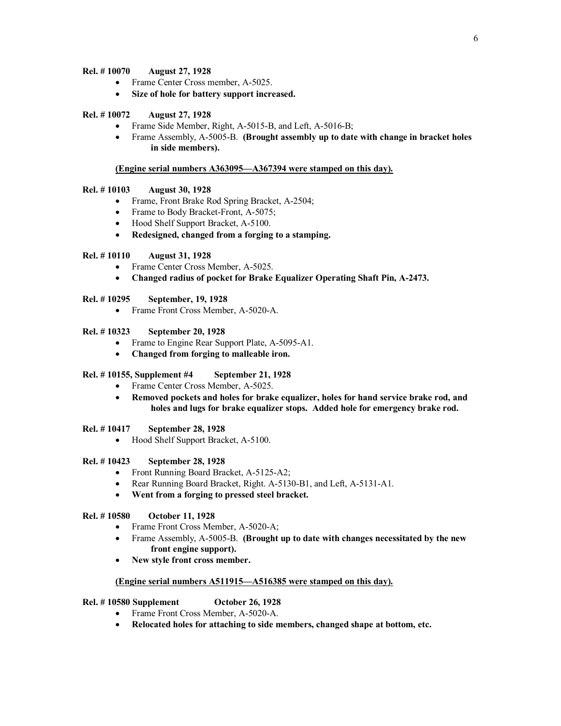## **Rel. # 10070 August 27, 1928**

- Frame Center Cross member, A-5025.
- · **Size of hole for battery support increased.**

# **Rel. # 10072 August 27, 1928**

- Frame Side Member, Right, A-5015-B, and Left, A-5016-B;
- · Frame Assembly, A-5005-B. **(Brought assembly up to date with change in bracket holes in side members).**

## **(Engine serial numbers A363095—A367394 were stamped on this day).**

## **Rel. # 10103 August 30, 1928**

- · Frame, Front Brake Rod Spring Bracket, A-2504;
- Frame to Body Bracket-Front, A-5075;
- Hood Shelf Support Bracket, A-5100.
- · **Redesigned, changed from a forging to a stamping.**

## **Rel. # 10110 August 31, 1928**

- Frame Center Cross Member, A-5025.
- · **Changed radius of pocket for Brake Equalizer Operating Shaft Pin, A-2473.**

## **Rel. # 10295 September, 19, 1928**

· Frame Front Cross Member, A-5020-A.

# **Rel. # 10323 September 20, 1928**

- Frame to Engine Rear Support Plate, A-5095-A1.
- · **Changed from forging to malleable iron.**

## **Rel. # 10155, Supplement #4 September 21, 1928**

- Frame Center Cross Member, A-5025.
- · **Removed pockets and holes for brake equalizer, holes for hand service brake rod, and holes and lugs for brake equalizer stops. Added hole for emergency brake rod.**

# **Rel. # 10417 September 28, 1928**

• Hood Shelf Support Bracket, A-5100.

## **Rel. # 10423 September 28, 1928**

- Front Running Board Bracket, A-5125-A2;
- Rear Running Board Bracket, Right. A-5130-B1, and Left, A-5131-A1.
- · **Went from a forging to pressed steel bracket.**

# **Rel. # 10580 October 11, 1928**

- Frame Front Cross Member, A-5020-A;
- · Frame Assembly, A-5005-B. **(Brought up to date with changes necessitated by the new front engine support).**
- · **New style front cross member.**

## **(Engine serial numbers A511915—A516385 were stamped on this day).**

## **Rel. # 10580 Supplement October 26, 1928**

- Frame Front Cross Member, A-5020-A.
- · **Relocated holes for attaching to side members, changed shape at bottom, etc.**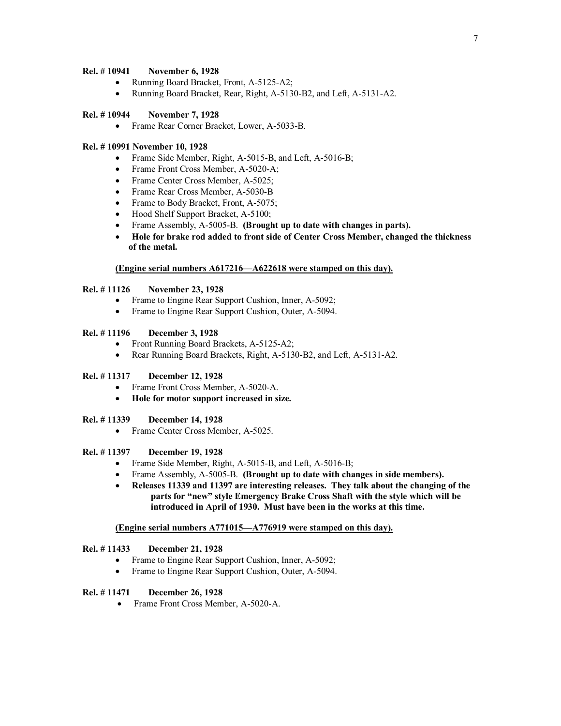## **Rel. # 10941 November 6, 1928**

- Running Board Bracket, Front, A-5125-A2;
- Running Board Bracket, Rear, Right, A-5130-B2, and Left, A-5131-A2.

## **Rel. # 10944 November 7, 1928**

· Frame Rear Corner Bracket, Lower, A-5033-B.

### **Rel. # 10991 November 10, 1928**

- Frame Side Member, Right, A-5015-B, and Left, A-5016-B;
- Frame Front Cross Member, A-5020-A;
- Frame Center Cross Member, A-5025;
- Frame Rear Cross Member, A-5030-B
- Frame to Body Bracket, Front, A-5075;
- Hood Shelf Support Bracket, A-5100;
- · Frame Assembly, A-5005-B. **(Brought up to date with changes in parts).**
- · **Hole for brake rod added to front side of Center Cross Member, changed the thickness of the metal.**

## **(Engine serial numbers A617216—A622618 were stamped on this day).**

## **Rel. # 11126 November 23, 1928**

- Frame to Engine Rear Support Cushion, Inner, A-5092;
- Frame to Engine Rear Support Cushion, Outer, A-5094.

# **Rel. # 11196 December 3, 1928**

- Front Running Board Brackets, A-5125-A2;
- Rear Running Board Brackets, Right, A-5130-B2, and Left, A-5131-A2.

### **Rel. # 11317 December 12, 1928**

- Frame Front Cross Member, A-5020-A.
- · **Hole for motor support increased in size.**

# **Rel. # 11339 December 14, 1928**

• Frame Center Cross Member, A-5025.

#### **Rel. # 11397 December 19, 1928**

- Frame Side Member, Right, A-5015-B, and Left, A-5016-B;
- · Frame Assembly, A-5005-B. **(Brought up to date with changes in side members).**
- · **Releases 11339 and 11397 are interesting releases. They talk about the changing of the parts for "new" style Emergency Brake Cross Shaft with the style which will be introduced in April of 1930. Must have been in the works at this time.**

#### **(Engine serial numbers A771015—A776919 were stamped on this day).**

## **Rel. # 11433 December 21, 1928**

- Frame to Engine Rear Support Cushion, Inner, A-5092;
- Frame to Engine Rear Support Cushion, Outer, A-5094.

## **Rel. # 11471 December 26, 1928**

• Frame Front Cross Member, A-5020-A.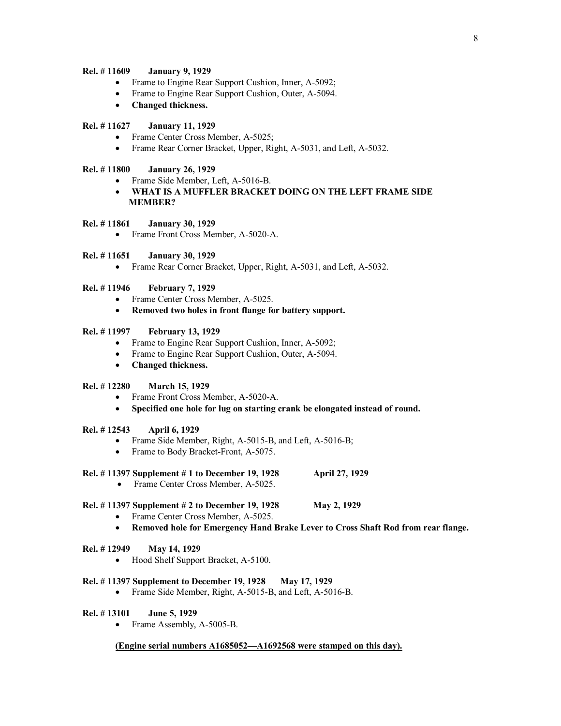## **Rel. # 11609 January 9, 1929**

- Frame to Engine Rear Support Cushion, Inner, A-5092;
- Frame to Engine Rear Support Cushion, Outer, A-5094.
- · **Changed thickness.**

# **Rel. # 11627 January 11, 1929**

- Frame Center Cross Member, A-5025;
- Frame Rear Corner Bracket, Upper, Right, A-5031, and Left, A-5032.

## **Rel. # 11800 January 26, 1929**

- · Frame Side Member, Left, A-5016-B.
- · **WHAT IS A MUFFLER BRACKET DOING ON THE LEFT FRAME SIDE MEMBER?**

## **Rel. # 11861 January 30, 1929**

• Frame Front Cross Member, A-5020-A.

# **Rel. # 11651 January 30, 1929**

• Frame Rear Corner Bracket, Upper, Right, A-5031, and Left, A-5032.

## **Rel. # 11946 February 7, 1929**

- Frame Center Cross Member, A-5025.
- · **Removed two holes in front flange for battery support.**

## **Rel. # 11997 February 13, 1929**

- · Frame to Engine Rear Support Cushion, Inner, A-5092;
- · Frame to Engine Rear Support Cushion, Outer, A-5094.
- · **Changed thickness.**

## **Rel. # 12280 March 15, 1929**

- Frame Front Cross Member, A-5020-A.
- · **Specified one hole for lug on starting crank be elongated instead of round.**

## **Rel. # 12543 April 6, 1929**

- Frame Side Member, Right, A-5015-B, and Left, A-5016-B;
- Frame to Body Bracket-Front, A-5075.
- **Rel. # 11397 Supplement # 1 to December 19, 1928 April 27, 1929** 
	- Frame Center Cross Member, A-5025.

## **Rel. # 11397 Supplement # 2 to December 19, 1928 May 2, 1929**

- Frame Center Cross Member, A-5025.
- · **Removed hole for Emergency Hand Brake Lever to Cross Shaft Rod from rear flange.**

## **Rel. # 12949 May 14, 1929**

· Hood Shelf Support Bracket, A-5100.

## **Rel. # 11397 Supplement to December 19, 1928 May 17, 1929**

• Frame Side Member, Right, A-5015-B, and Left, A-5016-B.

## **Rel. # 13101 June 5, 1929**

• Frame Assembly, A-5005-B.

## **(Engine serial numbers A1685052—A1692568 were stamped on this day).**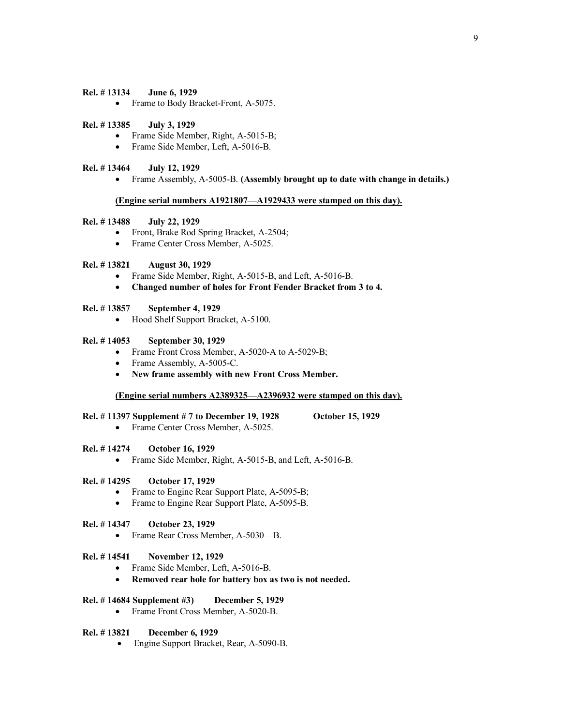## **Rel. # 13134 June 6, 1929**

• Frame to Body Bracket-Front, A-5075.

### **Rel. # 13385 July 3, 1929**

- Frame Side Member, Right, A-5015-B;
- Frame Side Member, Left, A-5016-B.

## **Rel. # 13464 July 12, 1929**

· Frame Assembly, A-5005-B. **(Assembly brought up to date with change in details.)**

## **(Engine serial numbers A1921807—A1929433 were stamped on this day).**

### **Rel. # 13488 July 22, 1929**

- Front, Brake Rod Spring Bracket, A-2504;
- Frame Center Cross Member, A-5025.

### **Rel. # 13821 August 30, 1929**

- Frame Side Member, Right, A-5015-B, and Left, A-5016-B.
- · **Changed number of holes for Front Fender Bracket from 3 to 4.**

## **Rel. # 13857 September 4, 1929**

• Hood Shelf Support Bracket, A-5100.

#### **Rel. # 14053 September 30, 1929**

- Frame Front Cross Member, A-5020-A to A-5029-B;
- Frame Assembly, A-5005-C.
- · **New frame assembly with new Front Cross Member.**

# **(Engine serial numbers A2389325—A2396932 were stamped on this day).**

#### **Rel. # 11397 Supplement # 7 to December 19, 1928 October 15, 1929**

• Frame Center Cross Member, A-5025.

## **Rel. # 14274 October 16, 1929**

• Frame Side Member, Right, A-5015-B, and Left, A-5016-B.

### **Rel. # 14295 October 17, 1929**

- Frame to Engine Rear Support Plate, A-5095-B;
- Frame to Engine Rear Support Plate, A-5095-B.

## **Rel. # 14347 October 23, 1929**

· Frame Rear Cross Member, A-5030—B.

#### **Rel. # 14541 November 12, 1929**

- Frame Side Member, Left, A-5016-B.
- · **Removed rear hole for battery box as two is not needed.**

# **Rel. # 14684 Supplement #3) December 5, 1929**

• Frame Front Cross Member, A-5020-B.

# **Rel. # 13821 December 6, 1929**

• Engine Support Bracket, Rear, A-5090-B.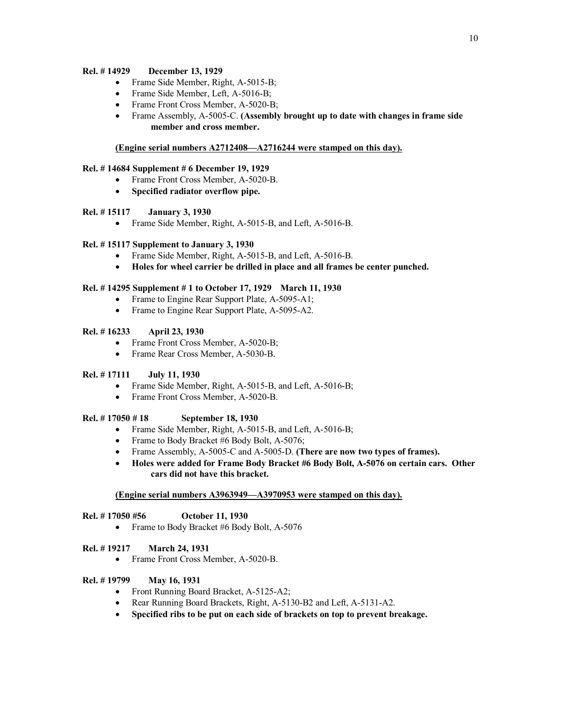## **Rel. # 14929 December 13, 1929**

- Frame Side Member, Right, A-5015-B;
- Frame Side Member, Left, A-5016-B;
- Frame Front Cross Member, A-5020-B;
- · Frame Assembly, A-5005-C. **(Assembly brought up to date with changes in frame side member and cross member.**

## **(Engine serial numbers A2712408—A2716244 were stamped on this day).**

## **Rel. # 14684 Supplement # 6 December 19, 1929**

- Frame Front Cross Member, A-5020-B.
- · **Specified radiator overflow pipe.**

# **Rel. # 15117 January 3, 1930**

• Frame Side Member, Right, A-5015-B, and Left, A-5016-B.

## **Rel. # 15117 Supplement to January 3, 1930**

- Frame Side Member, Right, A-5015-B, and Left, A-5016-B.
- · **Holes for wheel carrier be drilled in place and all frames be center punched.**

## **Rel. # 14295 Supplement # 1 to October 17, 1929 March 11, 1930**

- Frame to Engine Rear Support Plate, A-5095-A1;
- Frame to Engine Rear Support Plate, A-5095-A2.

## **Rel. # 16233 April 23, 1930**

- Frame Front Cross Member, A-5020-B;
- · Frame Rear Cross Member, A-5030-B.

## **Rel. # 17111 July 11, 1930**

- · Frame Side Member, Right, A-5015-B, and Left, A-5016-B;
- Frame Front Cross Member, A-5020-B.

## **Rel. # 17050 # 18 September 18, 1930**

- Frame Side Member, Right, A-5015-B, and Left, A-5016-B;
- Frame to Body Bracket #6 Body Bolt, A-5076;
- · Frame Assembly, A-5005-C and A-5005-D. **(There are now two types of frames).**
- · **Holes were added for Frame Body Bracket #6 Body Bolt, A-5076 on certain cars. Other cars did not have this bracket.**

## **(Engine serial numbers A3963949—A3970953 were stamped on this day).**

## **Rel. # 17050 #56 October 11, 1930**

• Frame to Body Bracket #6 Body Bolt, A-5076

## **Rel. # 19217 March 24, 1931**

· Frame Front Cross Member, A-5020-B.

## **Rel. # 19799 May 16, 1931**

- Front Running Board Bracket, A-5125-A2;
- Rear Running Board Brackets, Right, A-5130-B2 and Left, A-5131-A2.
- · **Specified ribs to be put on each side of brackets on top to prevent breakage.**